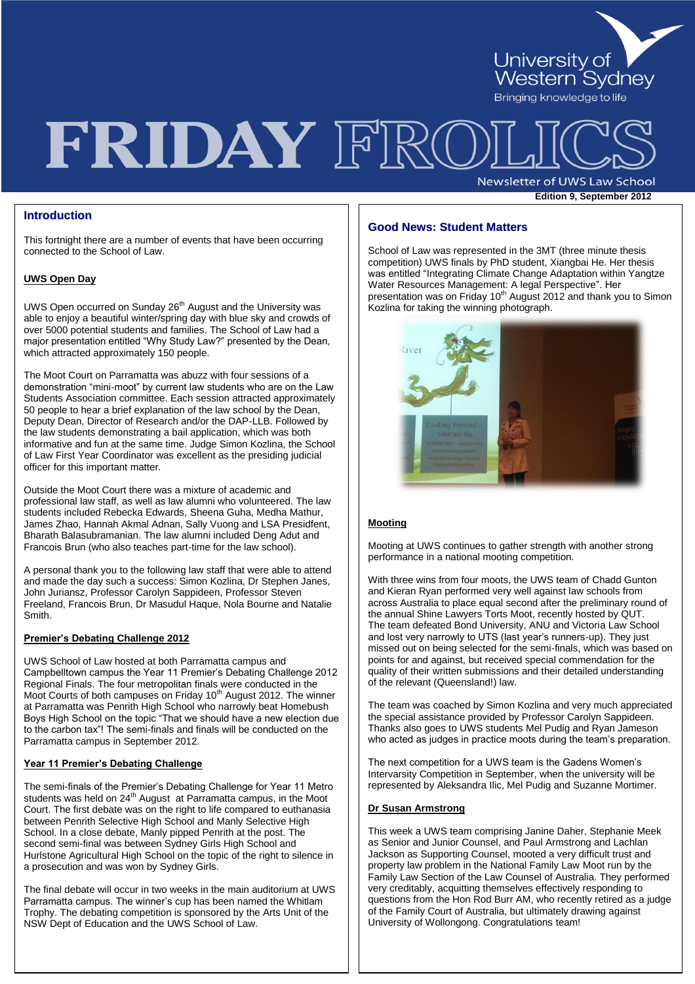

# FRIDAY FRO

Newsletter of UWS Law School **Edition 9, September 2012** 

# **Introduction**

This fortnight there are a number of events that have been occurring connected to the School of Law.

# **UWS Open Day**

UWS Open occurred on Sunday 26<sup>th</sup> August and the University was able to enjoy a beautiful winter/spring day with blue sky and crowds of over 5000 potential students and families. The School of Law had a major presentation entitled "Why Study Law?" presented by the Dean, which attracted approximately 150 people.

The Moot Court on Parramatta was abuzz with four sessions of a demonstration "mini-moot" by current law students who are on the Law Students Association committee. Each session attracted approximately 50 people to hear a brief explanation of the law school by the Dean, Deputy Dean, Director of Research and/or the DAP-LLB. Followed by the law students demonstrating a bail application, which was both informative and fun at the same time. Judge Simon Kozlina, the School of Law First Year Coordinator was excellent as the presiding judicial officer for this important matter.

Outside the Moot Court there was a mixture of academic and professional law staff, as well as law alumni who volunteered. The law students included Rebecka Edwards, Sheena Guha, Medha Mathur, James Zhao, Hannah Akmal Adnan, Sally Vuong and LSA Presidfent, Bharath Balasubramanian. The law alumni included Deng Adut and Francois Brun (who also teaches part-time for the law school).

A personal thank you to the following law staff that were able to attend and made the day such a success: Simon Kozlina, Dr Stephen Janes, John Juriansz, Professor Carolyn Sappideen, Professor Steven Freeland, Francois Brun, Dr Masudul Haque, Nola Bourne and Natalie Smith.

#### **Premier's Debating Challenge 2012**

UWS School of Law hosted at both Parramatta campus and Campbelltown campus the Year 11 Premier"s Debating Challenge 2012 Regional Finals. The four metropolitan finals were conducted in the Moot Courts of both campuses on Friday 10<sup>th</sup> August 2012. The winner at Parramatta was Penrith High School who narrowly beat Homebush Boys High School on the topic "That we should have a new election due to the carbon tax"! The semi-finals and finals will be conducted on the Parramatta campus in September 2012.

#### **Year 11 Premier's Debating Challenge**

The semi-finals of the Premier's Debating Challenge for Year 11 Metro students was held on 24<sup>th</sup> August at Parramatta campus, in the Moot Court. The first debate was on the right to life compared to euthanasia between Penrith Selective High School and Manly Selective High School. In a close debate, Manly pipped Penrith at the post. The second semi-final was between Sydney Girls High School and Hurlstone Agricultural High School on the topic of the right to silence in a prosecution and was won by Sydney Girls.

The final debate will occur in two weeks in the main auditorium at UWS Parramatta campus. The winner"s cup has been named the Whitlam Trophy. The debating competition is sponsored by the Arts Unit of the NSW Dept of Education and the UWS School of Law.

## **Good News: Student Matters**

**Page 2 Edition 7, August 2010**  was entitled "Integrating Climate Change Adaptation within Yangtze School of Law was represented in the 3MT (three minute thesis competition) UWS finals by PhD student, Xiangbai He. Her thesis Water Resources Management: A legal Perspective". Her presentation was on Friday 10<sup>th</sup> August 2012 and thank you to Simon Kozlina for taking the winning photograph.



#### **Mooting**

Mooting at UWS continues to gather strength with another strong performance in a national mooting competition.

With three wins from four moots, the UWS team of Chadd Gunton and Kieran Ryan performed very well against law schools from across Australia to place equal second after the preliminary round of the annual Shine Lawyers Torts Moot, recently hosted by QUT. The team defeated Bond University, ANU and Victoria Law School and lost very narrowly to UTS (last year's runners-up). They just missed out on being selected for the semi-finals, which was based on points for and against, but received special commendation for the quality of their written submissions and their detailed understanding of the relevant (Queensland!) law.

The team was coached by Simon Kozlina and very much appreciated the special assistance provided by Professor Carolyn Sappideen. Thanks also goes to UWS students Mel Pudig and Ryan Jameson who acted as judges in practice moots during the team"s preparation.

The next competition for a UWS team is the Gadens Women"s Intervarsity Competition in September, when the university will be represented by Aleksandra Ilic, Mel Pudig and Suzanne Mortimer.

#### **Dr Susan Armstrong**

This week a UWS team comprising Janine Daher, Stephanie Meek as Senior and Junior Counsel, and Paul Armstrong and Lachlan Jackson as Supporting Counsel, mooted a very difficult trust and property law problem in the National Family Law Moot run by the Family Law Section of the Law Counsel of Australia. They performed very creditably, acquitting themselves effectively responding to questions from the Hon Rod Burr AM, who recently retired as a judge of the Family Court of Australia, but ultimately drawing against University of Wollongong. Congratulations team!